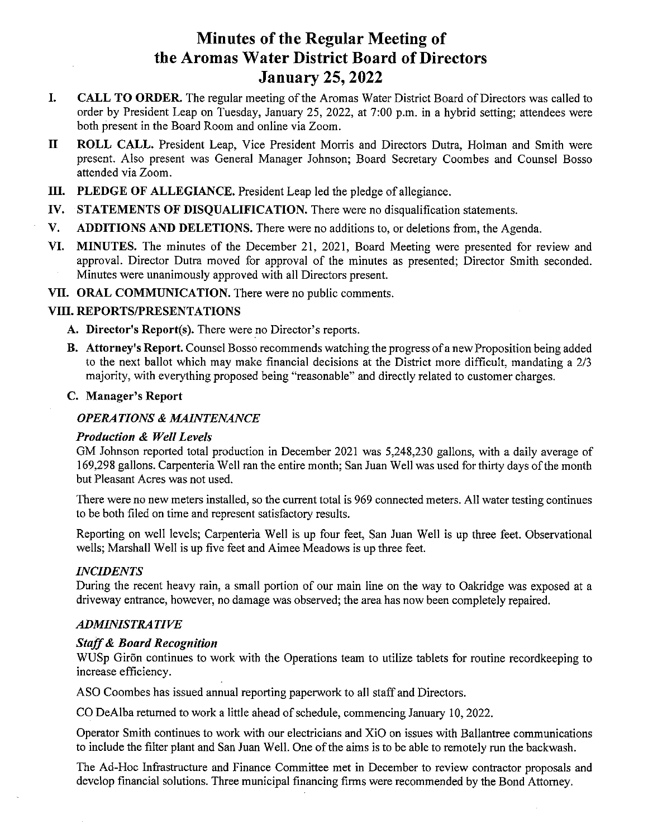# Minutes of the Regular Meeting of the Aromas Water District Board of Directors January 25, 2022

- CALL TO ORDER. The regular meeting of the Aromas Water District Board of Directors was called to I. order by President Leap on Tuesday, January 25, 2022, at 7:00 p.m. in a hybrid setting; attendees were both present in the Board Room and online via Zoom.
- II ROLL CALL. President Leap, Vice President Morris and Directors Dutra, Holman and Smith were present. Also present was General Manager Johnson; Board Secretary Coombes and Counsel Bosso attended via Zoom.
- III. PLEDGE OF ALLEGIANCE. President Leap led the pledge of allegiance.
- IV. STATEMENTS OF DISQUALIFICATION. There were no disqualification statements.
- V. ADDITIONS AND DELETIONS. There were no additions to, or deletions from, the Agenda.
- VI. MINUTES. The minutes of the December 21, 2021, Board Meeting were presented for review and approval. Director Dutra moved for approval of the minutes as presented; Director Smith seconded. Minutes were unanimously approved with all Directors present.
- VII. ORAL COMMUNICATION. There were no public comments.

# VIII. REPORTS/PRESENTATIONS

- A. Director's Report(s). There were no Director's reports.
- B. Attorney's Report. Counsel Bosso recommends watching the progress of <sup>a</sup> new Proposition being added to the next ballot which may make financial decisions at the District more difficult, mandating <sup>a</sup> 2/3 majority, with everything proposed being "reasonable" and directly related to customer charges.

# C. Manager's Report

# OPERATIONS & MAINTENANCE

# Production & Well Levels

GM Johnson reported total production in December 2021 was 5,248,230 gallons, with a daily average of 169,298 gallons. Carpenteria Well ran the entire month; San Juan Well was used for thirty days ofthe month but Pleasant Acres was not used.

There were no new meters installed, so the current total is 969 connected meters. All water testing continues to be both filed on time and represent satisfactory results.

Reporting on well levels; Carpenteria Well is up four feet, San Juan Well is up three feet. Observational wells; Marshall Well is up five feet and Aimee Meadows is up three feet.

# INCIDENTS

During the recent heavy rain, <sup>a</sup> small portion of our main line on the way to Oakridge was exposed at <sup>a</sup> driveway entrance, however, no damage was observed; the area has now been completely repaired.

# ADMINISTRATIVE

# Staff& Board Recognition

WUSp Giron continues to work with the Operations team to utilize tablets for routine recordkeeping to increase efficiency.

ASO Coombes has issued annual reporting paperwork to all staff and Directors.

CO DeAlba returned to work <sup>a</sup> little ahead of schedule, commencing January 10, 2022.

Operator Smith continues to work with our electricians and XiO on issues with Ballantree communications to include the filter plant and San Juan Well. One of the aims is to be able to remotely run the backwash.

The Ad-Hoc Infrastructure and Finance Committee met in December to review contractor proposals and develop financial solutions. Three municipal financing firms were recommended by the Bond Attorney.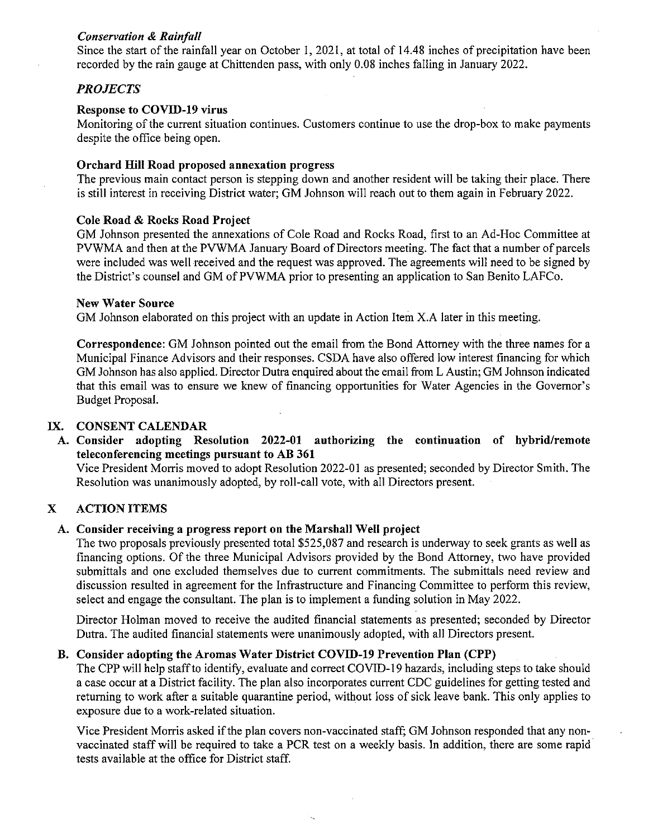# Conservation & Rainfall

Since the start of the rainfall year on October 1, 2021, at total of 14.48 inches of precipitation have been recorded by the rain gauge at Chittenden pass, with only 0.08 inches falling in January 2022.

# PROJECTS

### Response to COVTD-19 virus

Monitoring of the current situation continues. Customers continue to use the drop-box to make payments despite the office being open.

# Orchard Hill Road proposed annexation progress

The previous main contact person is stepping down and another resident will be taking their place. There is still interest in receiving District water; GM Johnson will reach out to them again in February 2022.

# Cole Road & Rocks Road Project

GM Johnson presented the annexations of Cole Road and Rocks Road, first to an Ad-Hoc Committee at PVWMA and then at the PVWMA January Board of Directors meeting. The fact that a number of parcels were included was well received and the request was approved. The agreements will need to be signed by the District's counsel and GM of PVWMA prior to presenting an application to San Benito LAFCo.

#### New Water Source

GM Johnson elaborated on this project with an update in Action Item X.A later in this meeting.

Correspondence: GM Johnson pointed out the email from the Bond Attorney with the three names for <sup>a</sup> Municipal Finance Advisors and their responses. CSDA have also offered low interest financing for which GM Johnson has also applied. Director Dutra enquired about the email from L Austin; GM Johnson indicated that this email was to ensure we knew of financing opportunities for Water Agencies in the Governor's Budget Proposal.

# IX. CONSENT CALENDAR

A. Consider adopting Resolution 2022-01 authorizing the continuation of hybrid/remote teleconferencing meetings pursuant to AB 361

Vice President Morris moved to adopt Resolution 2022-01 as presented; seconded by Director Smith. The Resolution was unanimously adopted, by roll-call vote, with all Directors present.

# X ACTION ITEMS

#### A. Consider receiving a progress report on the Marshall Well project

The two proposals previously presented total \$525,087 and research is underway to seek grants as well as financing options. Of the three Municipal Advisors provided by the Bond Attorney, two have provided submittals and one excluded themselves due to current commitments. The submittals need review and discussion resulted in agreement for the Infrastructure and Financing Committee to perform this review, select and engage the consultant. The plan is to implement a funding solution in May 2022.

Director Holman moved to receive the audited financial statements as presented; seconded by Director Dutra. The audited financial statements were unanimously adopted, with all Directors present.

# B. Consider adopting the Aromas Water District COVID-19 Prevention Plan (CPP)

The CPP will help staff to identify, evaluate and correct COVID-19 hazards, including steps to take should <sup>a</sup> case occur at <sup>a</sup> District facility. The plan also incorporates current CDC guidelines for getting tested and returning to work after <sup>a</sup> suitable quarantine period, without loss of sick leave bank. This only applies to exposure due to a work-related situation.

Vice President Morris asked if the plan covers non-vaccinated staff; GM Johnson responded that any nonvaccinated staff will be required to take <sup>a</sup> PCR test on <sup>a</sup> weekly basis. In addition, there are some rapid tests available at the office for District staff.

чü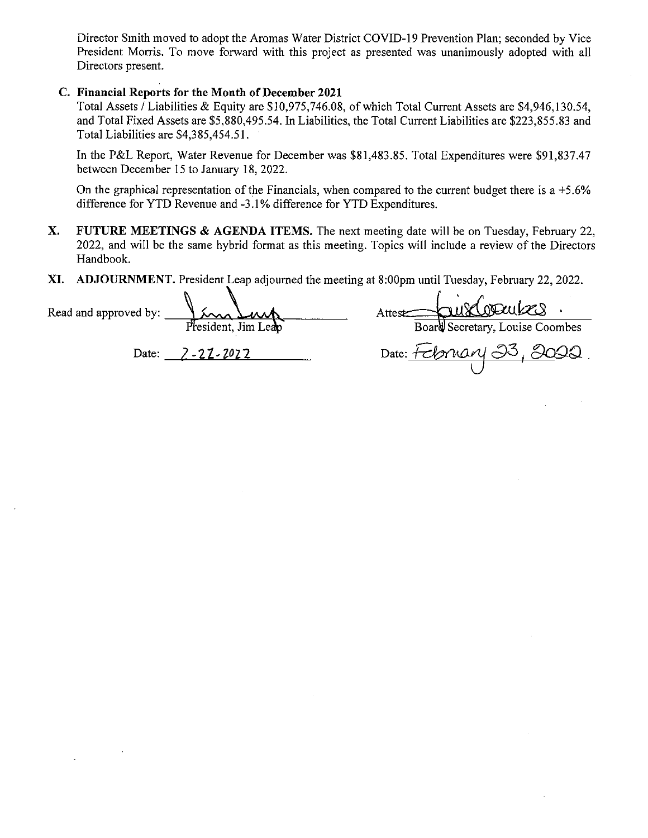Director Smith moved to adopt the Aromas Water District COVID-19 Prevention Plan; seconded by Vice President Morris. To move forward with this project as presented was unanimously adopted with all Directors present.

# C. Financial Reports for the Month of December 2021

Total Assets / Liabilities & Equity are \$10,975,746.08, of which Total Current Assets are \$4,946,130.54, and Total Fixed Assets are \$5,880,495.54. In Liabilities, the Total Current Liabilities are \$223,855.83 and Total Liabilities are \$4,385,454.51.

In the P&L Report, Water Revenue for December was \$81,483.85. Total Expenditures were \$91,837.47 between December 15 to January 18, 2022.

On the graphical representation of the Financials, when compared to the current budget there is a  $+5.6\%$ difference for YTD Revenue and -3.1% difference for YTD Expenditures.

- X. FUTURE MEETINGS & AGENDA ITEMS. The next meeting date will be on Tuesday, February 22, 2022, and will be the same hybrid format as this meeting. Topics will include <sup>a</sup> review of the Directors Handbook.
- XI. ADJOURNMENT. President Leap adjourned the meeting at 8:00pm until Tuesday, February 22, 2022.

Read and approved by:  $\mu \sim \mu$ esident, Jim Leap **Example 2** Board Secretary, Louise Coombes Date: 2-22-2022 Date: February 33, 3002.